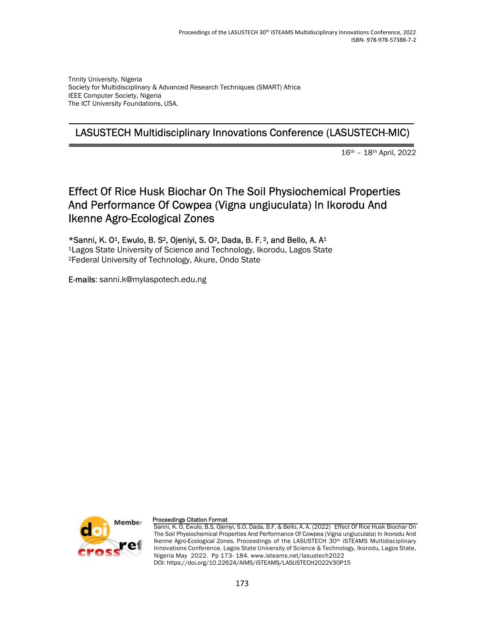Trinity University, Nigeria Society for Multidisciplinary & Advanced Research Techniques (SMART) Africa IEEE Computer Society, Nigeria The ICT University Foundations, USA.

## LASUSTECH Multidisciplinary Innovations Conference (LASUSTECH-MIC)

16th – 18th April, 2022

# Effect Of Rice Husk Biochar On The Soil Physiochemical Properties And Performance Of Cowpea (Vigna ungiuculata) In Ikorodu And Ikenne Agro-Ecological Zones

\*Sanni, K. O1, Ewulo, B. S2, Ojeniyi, S. O2, Dada, B. F. 2, and Bello, A. A<sup>1</sup>

<sup>1</sup>Lagos State University of Science and Technology, Ikorodu, Lagos State <sup>2</sup>Federal University of Technology, Akure, Ondo State

E-mails: sanni.k@mylaspotech.edu.ng



#### Proceedings Citation Format

Sanni, K. O, Ewulo, B.S, Ojeniyi, S.O, Dada, B.F. & Bello, A. A. (2022) Effect Of Rice Husk Biochar On The Soil Physiochemical Properties And Performance Of Cowpea (Vigna ungiuculata) In Ikorodu And Ikenne Agro-Ecological Zones. Proceedings of the LASUSTECH 30th iSTEAMS Multidisciplinary Innovations Conference. Lagos State University of Science & Technology, Ikorodu, Lagos State, Nigeria May 2022. Pp 173- 184. www.isteams.net/lasustech2022 DOI: https://doi.org/10.22624/AIMS/iSTEAMS/LASUSTECH2022V30P15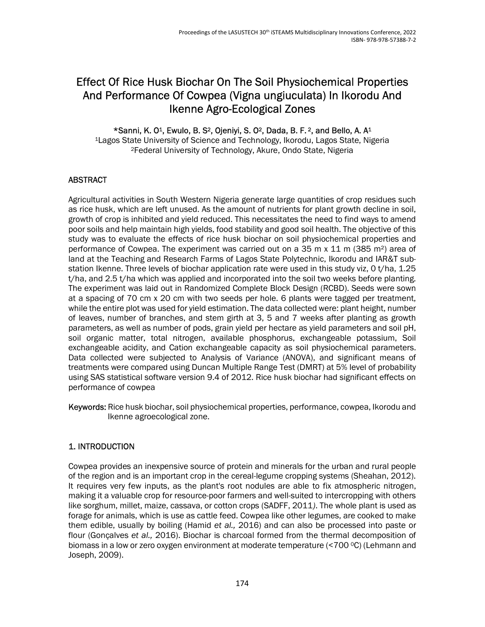# Effect Of Rice Husk Biochar On The Soil Physiochemical Properties And Performance Of Cowpea (Vigna ungiuculata) In Ikorodu And Ikenne Agro-Ecological Zones

\*Sanni, K. O1, Ewulo, B. S2, Ojeniyi, S. O2, Dada, B. F. 2, and Bello, A. A<sup>1</sup>

<sup>1</sup>Lagos State University of Science and Technology, Ikorodu, Lagos State, Nigeria <sup>2</sup>Federal University of Technology, Akure, Ondo State, Nigeria

## ABSTRACT

Agricultural activities in South Western Nigeria generate large quantities of crop residues such as rice husk, which are left unused. As the amount of nutrients for plant growth decline in soil, growth of crop is inhibited and yield reduced. This necessitates the need to find ways to amend poor soils and help maintain high yields, food stability and good soil health. The objective of this study was to evaluate the effects of rice husk biochar on soil physiochemical properties and performance of Cowpea. The experiment was carried out on a 35 m  $\times$  11 m (385 m<sup>2</sup>) area of land at the Teaching and Research Farms of Lagos State Polytechnic, Ikorodu and IAR&T substation Ikenne. Three levels of biochar application rate were used in this study viz, 0 t/ha, 1.25 t/ha, and 2.5 t/ha which was applied and incorporated into the soil two weeks before planting. The experiment was laid out in Randomized Complete Block Design (RCBD). Seeds were sown at a spacing of 70 cm x 20 cm with two seeds per hole. 6 plants were tagged per treatment, while the entire plot was used for yield estimation. The data collected were: plant height, number of leaves, number of branches, and stem girth at 3, 5 and 7 weeks after planting as growth parameters, as well as number of pods, grain yield per hectare as yield parameters and soil pH, soil organic matter, total nitrogen, available phosphorus, exchangeable potassium, Soil exchangeable acidity, and Cation exchangeable capacity as soil physiochemical parameters. Data collected were subjected to Analysis of Variance (ANOVA), and significant means of treatments were compared using Duncan Multiple Range Test (DMRT) at 5% level of probability using SAS statistical software version 9.4 of 2012. Rice husk biochar had significant effects on performance of cowpea

Keywords: Rice husk biochar, soil physiochemical properties, performance, cowpea, Ikorodu and Ikenne agroecological zone.

## 1. INTRODUCTION

Cowpea provides an inexpensive source of protein and minerals for the urban and rural people of the region and is an important crop in the cereal-legume cropping systems (Sheahan, 2012). It requires very few inputs, as the plant's root nodules are able to fix atmospheric nitrogen, making it a valuable crop for resource-poor farmers and well-suited to intercropping with others like sorghum, millet, maize, cassava, or cotton crops (SADFF, 2011). The whole plant is used as forage for animals, which is use as cattle feed. Cowpea like other legumes, are cooked to make them edible, usually by boiling (Hamid et al., 2016) and can also be processed into paste or flour (Gonçalves et al., 2016). Biochar is charcoal formed from the thermal decomposition of biomass in a low or zero oxygen environment at moderate temperature (<700 °C) (Lehmann and Joseph, 2009).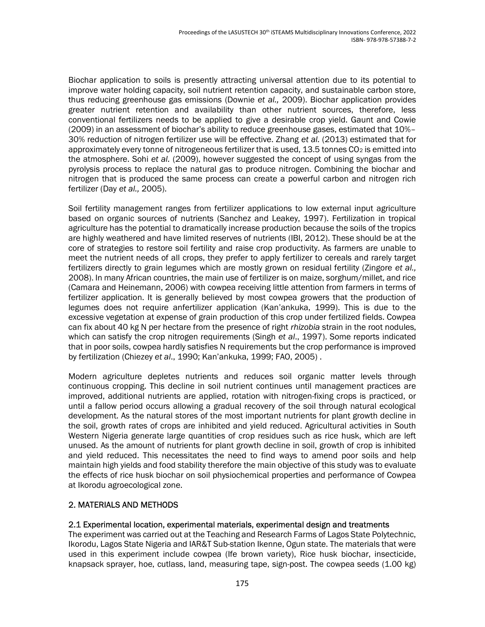Biochar application to soils is presently attracting universal attention due to its potential to improve water holding capacity, soil nutrient retention capacity, and sustainable carbon store, thus reducing greenhouse gas emissions (Downie et al., 2009). Biochar application provides greater nutrient retention and availability than other nutrient sources, therefore, less conventional fertilizers needs to be applied to give a desirable crop yield. Gaunt and Cowie (2009) in an assessment of biochar's ability to reduce greenhouse gases, estimated that 10%– 30% reduction of nitrogen fertilizer use will be effective. Zhang et al. (2013) estimated that for approximately every tonne of nitrogeneous fertilizer that is used,  $13.5$  tonnes  $CO<sub>2</sub>$  is emitted into the atmosphere. Sohi et al. (2009), however suggested the concept of using syngas from the pyrolysis process to replace the natural gas to produce nitrogen. Combining the biochar and nitrogen that is produced the same process can create a powerful carbon and nitrogen rich fertilizer (Day et al., 2005).

Soil fertility management ranges from fertilizer applications to low external input agriculture based on organic sources of nutrients (Sanchez and Leakey, 1997). Fertilization in tropical agriculture has the potential to dramatically increase production because the soils of the tropics are highly weathered and have limited reserves of nutrients (IBI, 2012). These should be at the core of strategies to restore soil fertility and raise crop productivity. As farmers are unable to meet the nutrient needs of all crops, they prefer to apply fertilizer to cereals and rarely target fertilizers directly to grain legumes which are mostly grown on residual fertility (Zingore et al., 2008). In many African countries, the main use of fertilizer is on maize, sorghum/millet, and rice (Camara and Heinemann, 2006) with cowpea receiving little attention from farmers in terms of fertilizer application. It is generally believed by most cowpea growers that the production of legumes does not require anfertilizer application (Kan'ankuka, 1999). This is due to the excessive vegetation at expense of grain production of this crop under fertilized fields. Cowpea can fix about 40 kg N per hectare from the presence of right rhizobia strain in the root nodules, which can satisfy the crop nitrogen requirements (Singh et al., 1997). Some reports indicated that in poor soils, cowpea hardly satisfies N requirements but the crop performance is improved by fertilization (Chiezey et al., 1990; Kan'ankuka, 1999; FAO, 2005) .

Modern agriculture depletes nutrients and reduces soil organic matter levels through continuous cropping. This decline in soil nutrient continues until management practices are improved, additional nutrients are applied, rotation with nitrogen-fixing crops is practiced, or until a fallow period occurs allowing a gradual recovery of the soil through natural ecological development. As the natural stores of the most important nutrients for plant growth decline in the soil, growth rates of crops are inhibited and yield reduced. Agricultural activities in South Western Nigeria generate large quantities of crop residues such as rice husk, which are left unused. As the amount of nutrients for plant growth decline in soil, growth of crop is inhibited and yield reduced. This necessitates the need to find ways to amend poor soils and help maintain high yields and food stability therefore the main objective of this study was to evaluate the effects of rice husk biochar on soil physiochemical properties and performance of Cowpea at Ikorodu agroecological zone.

### 2. MATERIALS AND METHODS

### 2.1 Experimental location, experimental materials, experimental design and treatments

The experiment was carried out at the Teaching and Research Farms of Lagos State Polytechnic, Ikorodu, Lagos State Nigeria and IAR&T Sub-station Ikenne, Ogun state. The materials that were used in this experiment include cowpea (Ife brown variety), Rice husk biochar, insecticide, knapsack sprayer, hoe, cutlass, land, measuring tape, sign-post. The cowpea seeds (1.00 kg)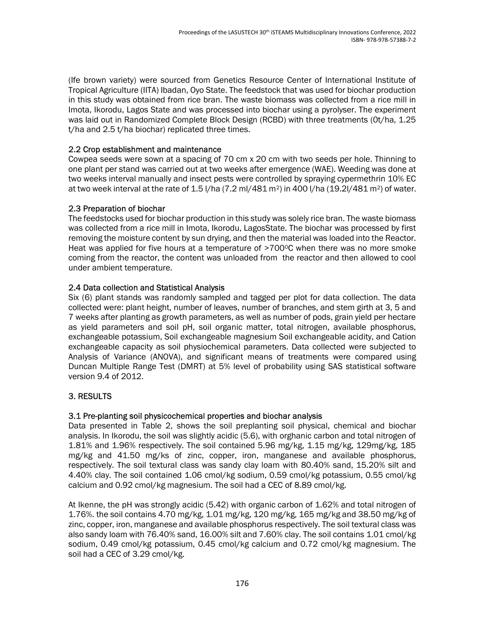(Ife brown variety) were sourced from Genetics Resource Center of International Institute of Tropical Agriculture (IITA) Ibadan, Oyo State. The feedstock that was used for biochar production in this study was obtained from rice bran. The waste biomass was collected from a rice mill in Imota, Ikorodu, Lagos State and was processed into biochar using a pyrolyser. The experiment was laid out in Randomized Complete Block Design (RCBD) with three treatments (0t/ha, 1.25 t/ha and 2.5 t/ha biochar) replicated three times.

## 2.2 Crop establishment and maintenance

Cowpea seeds were sown at a spacing of 70 cm x 20 cm with two seeds per hole. Thinning to one plant per stand was carried out at two weeks after emergence (WAE). Weeding was done at two weeks interval manually and insect pests were controlled by spraying cypermethrin 10% EC at two week interval at the rate of 1.5 l/ha (7.2 ml/481 m2) in 400 l/ha (19.2l/481 m2) of water.

## 2.3 Preparation of biochar

The feedstocks used for biochar production in this study was solely rice bran. The waste biomass was collected from a rice mill in Imota, Ikorodu, LagosState. The biochar was processed by first removing the moisture content by sun drying, and then the material was loaded into the Reactor. Heat was applied for five hours at a temperature of >700°C when there was no more smoke coming from the reactor, the content was unloaded from the reactor and then allowed to cool under ambient temperature.

## 2.4 Data collection and Statistical Analysis

Six (6) plant stands was randomly sampled and tagged per plot for data collection. The data collected were: plant height, number of leaves, number of branches, and stem girth at 3, 5 and 7 weeks after planting as growth parameters, as well as number of pods, grain yield per hectare as yield parameters and soil pH, soil organic matter, total nitrogen, available phosphorus, exchangeable potassium, Soil exchangeable magnesium Soil exchangeable acidity, and Cation exchangeable capacity as soil physiochemical parameters. Data collected were subjected to Analysis of Variance (ANOVA), and significant means of treatments were compared using Duncan Multiple Range Test (DMRT) at 5% level of probability using SAS statistical software version 9.4 of 2012.

## 3. RESULTS

## 3.1 Pre-planting soil physicochemical properties and biochar analysis

Data presented in Table 2, shows the soil preplanting soil physical, chemical and biochar analysis. In Ikorodu, the soil was slightly acidic (5.6), with orghanic carbon and total nitrogen of 1.81% and 1.96% respectively. The soil contained 5.96 mg/kg, 1.15 mg/kg, 129mg/kg, 185 mg/kg and 41.50 mg/ks of zinc, copper, iron, manganese and available phosphorus, respectively. The soil textural class was sandy clay loam with 80.40% sand, 15.20% silt and 4.40% clay. The soil contained 1.06 cmol/kg sodium, 0.59 cmol/kg potassium, 0.55 cmol/kg calcium and 0.92 cmol/kg magnesium. The soil had a CEC of 8.89 cmol/kg.

At Ikenne, the pH was strongly acidic (5.42) with organic carbon of 1.62% and total nitrogen of 1.76%. the soil contains 4.70 mg/kg, 1.01 mg/kg, 120 mg/kg, 165 mg/kg and 38.50 mg/kg of zinc, copper, iron, manganese and available phosphorus respectively. The soil textural class was also sandy loam with 76.40% sand, 16.00% silt and 7.60% clay. The soil contains 1.01 cmol/kg sodium, 0.49 cmol/kg potassium, 0.45 cmol/kg calcium and 0.72 cmol/kg magnesium. The soil had a CEC of 3.29 cmol/kg.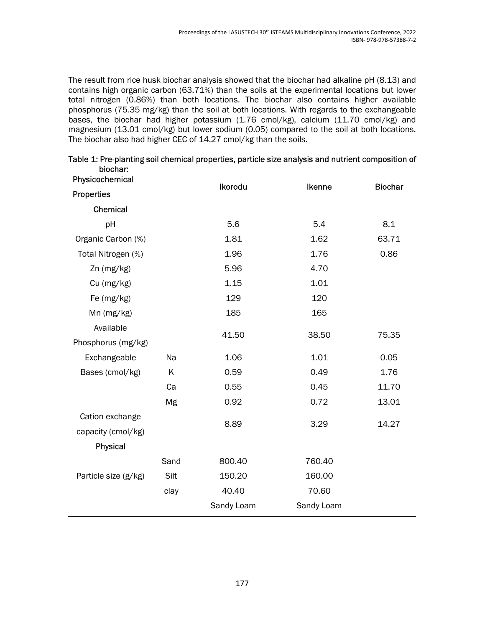The result from rice husk biochar analysis showed that the biochar had alkaline pH (8.13) and contains high organic carbon (63.71%) than the soils at the experimental locations but lower total nitrogen (0.86%) than both locations. The biochar also contains higher available phosphorus (75.35 mg/kg) than the soil at both locations. With regards to the exchangeable bases, the biochar had higher potassium (1.76 cmol/kg), calcium (11.70 cmol/kg) and magnesium (13.01 cmol/kg) but lower sodium (0.05) compared to the soil at both locations. The biochar also had higher CEC of 14.27 cmol/kg than the soils.

| Physicochemical      |      | Ikorodu    | Ikenne     | <b>Biochar</b> |  |
|----------------------|------|------------|------------|----------------|--|
| Properties           |      |            |            |                |  |
| Chemical             |      |            |            |                |  |
| pH                   |      | 5.6        | 5.4        | 8.1            |  |
| Organic Carbon (%)   |      | 1.81       | 1.62       | 63.71          |  |
| Total Nitrogen (%)   |      | 1.96       | 1.76       | 0.86           |  |
| Zn (mg/kg)           |      | 5.96       | 4.70       |                |  |
| Cu (mg/kg)           |      | 1.15       | 1.01       |                |  |
| Fe (mg/kg)           |      | 129        | 120        |                |  |
| Mn (mg/kg)           |      | 185        | 165        |                |  |
| Available            |      |            |            |                |  |
| Phosphorus (mg/kg)   |      | 41.50      | 38.50      | 75.35          |  |
| Exchangeable         | Na   | 1.06       | 1.01       | 0.05           |  |
| Bases (cmol/kg)      | Κ    | 0.59       | 0.49       | 1.76           |  |
|                      | Ca   | 0.55       | 0.45       | 11.70          |  |
|                      | Mg   | 0.92       | 0.72       | 13.01          |  |
| Cation exchange      |      | 8.89       | 3.29       |                |  |
| capacity (cmol/kg)   |      |            |            | 14.27          |  |
| Physical             |      |            |            |                |  |
|                      | Sand | 800.40     | 760.40     |                |  |
| Particle size (g/kg) | Silt | 150.20     | 160.00     |                |  |
|                      | clay | 40.40      | 70.60      |                |  |
|                      |      | Sandy Loam | Sandy Loam |                |  |
|                      |      |            |            |                |  |

|          | Table 1: Pre-planting soil chemical properties, particle size analysis and nutrient composition of |
|----------|----------------------------------------------------------------------------------------------------|
| biochar: |                                                                                                    |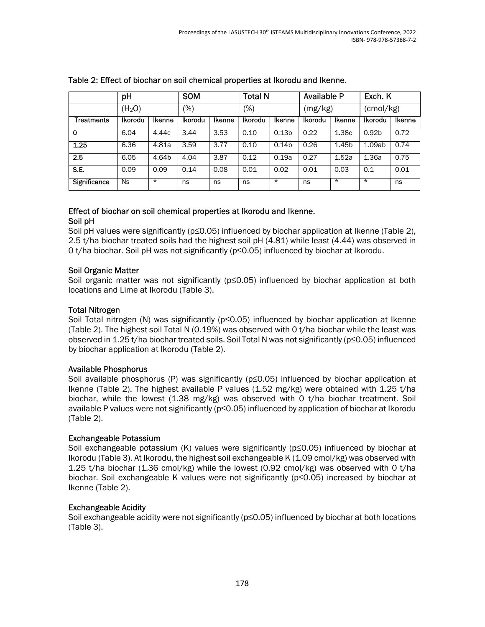|                   | pH                 |               | <b>SOM</b>     |               | <b>Total N</b> |                   | <b>Available P</b> |         | Exch. K           |        |
|-------------------|--------------------|---------------|----------------|---------------|----------------|-------------------|--------------------|---------|-------------------|--------|
|                   | (H <sub>2</sub> O) |               | (%)            |               | $(\%)$         |                   | (mg/kg)            |         | (cmol/kg)         |        |
| <b>Treatments</b> | Ikorodu            | <b>Ikenne</b> | <b>Ikorodu</b> | <b>Ikenne</b> | <b>Ikorodu</b> | <b>Ikenne</b>     | <b>Ikorodu</b>     | Ikenne  | Ikorodu           | Ikenne |
| 0                 | 6.04               | 4.44c         | 3.44           | 3.53          | 0.10           | 0.13 <sub>b</sub> | 0.22               | 1.38c   | 0.92 <sub>b</sub> | 0.72   |
| 1.25              | 6.36               | 4.81a         | 3.59           | 3.77          | 0.10           | 0.14 <sub>b</sub> | 0.26               | 1.45b   | 1.09ab            | 0.74   |
| 2.5               | 6.05               | 4.64b         | 4.04           | 3.87          | 0.12           | 0.19a             | 0.27               | 1.52a   | 1.36a             | 0.75   |
| S.E.              | 0.09               | 0.09          | 0.14           | 0.08          | 0.01           | 0.02              | 0.01               | 0.03    | 0.1               | 0.01   |
| Significance      | Ns                 | $\star$       | ns             | ns            | ns             | $\star$           | ns                 | $\star$ | $\star$           | ns     |

### Table 2: Effect of biochar on soil chemical properties at Ikorodu and Ikenne.

#### Effect of biochar on soil chemical properties at Ikorodu and Ikenne. Soil pH

Soil pH values were significantly (p≤0.05) influenced by biochar application at Ikenne (Table 2), 2.5 t/ha biochar treated soils had the highest soil pH (4.81) while least (4.44) was observed in 0 t/ha biochar. Soil pH was not significantly (p≤0.05) influenced by biochar at Ikorodu.

### Soil Organic Matter

Soil organic matter was not significantly (p≤0.05) influenced by biochar application at both locations and Lime at Ikorodu (Table 3).

#### Total Nitrogen

Soil Total nitrogen (N) was significantly (p≤0.05) influenced by biochar application at Ikenne (Table 2). The highest soil Total N (0.19%) was observed with 0 t/ha biochar while the least was observed in 1.25 t/ha biochar treated soils. Soil Total N was not significantly (p≤0.05) influenced by biochar application at Ikorodu (Table 2).

#### Available Phosphorus

Soil available phosphorus (P) was significantly ( $p \le 0.05$ ) influenced by biochar application at Ikenne (Table 2). The highest available P values (1.52 mg/kg) were obtained with 1.25 t/ha biochar, while the lowest (1.38 mg/kg) was observed with 0 t/ha biochar treatment. Soil available P values were not significantly (p≤0.05) influenced by application of biochar at Ikorodu (Table 2).

#### Exchangeable Potassium

Soil exchangeable potassium (K) values were significantly (p≤0.05) influenced by biochar at Ikorodu (Table 3). At Ikorodu, the highest soil exchangeable K (1.09 cmol/kg) was observed with 1.25 t/ha biochar (1.36 cmol/kg) while the lowest (0.92 cmol/kg) was observed with 0 t/ha biochar. Soil exchangeable K values were not significantly (p≤0.05) increased by biochar at Ikenne (Table 2).

#### Exchangeable Acidity

Soil exchangeable acidity were not significantly (p≤0.05) influenced by biochar at both locations (Table 3).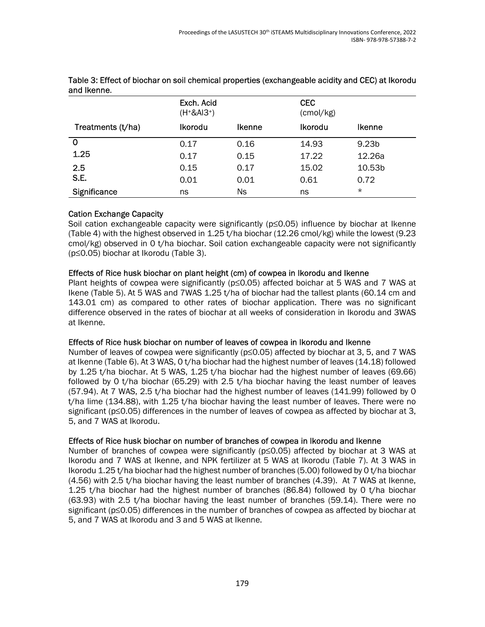|                   | Exch. Acid<br>$(H + & A + 3)$ |               | <b>CEC</b><br>$\text{(cmol/kg)}$ |                   |
|-------------------|-------------------------------|---------------|----------------------------------|-------------------|
| Treatments (t/ha) | Ikorodu                       | <b>Ikenne</b> | <b>Ikorodu</b>                   | <b>Ikenne</b>     |
| 0                 | 0.17                          | 0.16          | 14.93                            | 9.23 <sub>b</sub> |
| 1.25              | 0.17                          | 0.15          | 17.22                            | 12.26a            |
| 2.5               | 0.15                          | 0.17          | 15.02                            | 10.53b            |
| S.E.              | 0.01                          | 0.01          | 0.61                             | 0.72              |
| Significance      | ns                            | Ns            | ns                               | $\star$           |

#### Table 3: Effect of biochar on soil chemical properties (exchangeable acidity and CEC) at Ikorodu and Ikenne.

### Cation Exchange Capacity

Soil cation exchangeable capacity were significantly (p≤0.05) influence by biochar at Ikenne (Table 4) with the highest observed in 1.25 t/ha biochar (12.26 cmol/kg) while the lowest (9.23 cmol/kg) observed in 0 t/ha biochar. Soil cation exchangeable capacity were not significantly (p≤0.05) biochar at Ikorodu (Table 3).

### Effects of Rice husk biochar on plant height (cm) of cowpea in Ikorodu and Ikenne

Plant heights of cowpea were significantly (p≤0.05) affected boichar at 5 WAS and 7 WAS at Ikene (Table 5). At 5 WAS and 7WAS 1.25 t/ha of biochar had the tallest plants (60.14 cm and 143.01 cm) as compared to other rates of biochar application. There was no significant difference observed in the rates of biochar at all weeks of consideration in Ikorodu and 3WAS at Ikenne.

### Effects of Rice husk biochar on number of leaves of cowpea in Ikorodu and Ikenne

Number of leaves of cowpea were significantly (p≤0.05) affected by biochar at 3, 5, and 7 WAS at Ikenne (Table 6). At 3 WAS, 0 t/ha biochar had the highest number of leaves (14.18) followed by 1.25 t/ha biochar. At 5 WAS, 1.25 t/ha biochar had the highest number of leaves (69.66) followed by 0 t/ha biochar (65.29) with 2.5 t/ha biochar having the least number of leaves (57.94). At 7 WAS, 2.5 t/ha biochar had the highest number of leaves (141.99) followed by 0 t/ha lime (134.88), with 1.25 t/ha biochar having the least number of leaves. There were no significant (p≤0.05) differences in the number of leaves of cowpea as affected by biochar at 3, 5, and 7 WAS at Ikorodu.

## Effects of Rice husk biochar on number of branches of cowpea in Ikorodu and Ikenne

Number of branches of cowpea were significantly (p≤0.05) affected by biochar at 3 WAS at Ikorodu and 7 WAS at Ikenne, and NPK fertilizer at 5 WAS at Ikorodu (Table 7). At 3 WAS in Ikorodu 1.25 t/ha biochar had the highest number of branches (5.00) followed by 0 t/ha biochar (4.56) with 2.5 t/ha biochar having the least number of branches (4.39). At 7 WAS at Ikenne, 1.25 t/ha biochar had the highest number of branches (86.84) followed by 0 t/ha biochar (63.93) with 2.5 t/ha biochar having the least number of branches (59.14). There were no significant (p≤0.05) differences in the number of branches of cowpea as affected by biochar at 5, and 7 WAS at Ikorodu and 3 and 5 WAS at Ikenne.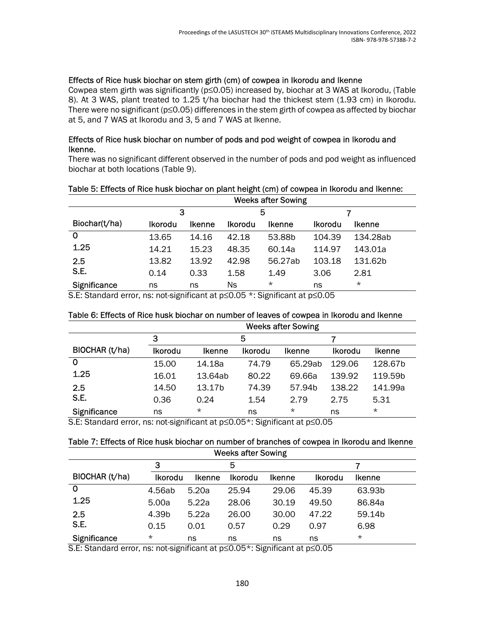#### Effects of Rice husk biochar on stem girth (cm) of cowpea in Ikorodu and Ikenne

Cowpea stem girth was significantly (p≤0.05) increased by, biochar at 3 WAS at Ikorodu, (Table 8). At 3 WAS, plant treated to 1.25 t/ha biochar had the thickest stem (1.93 cm) in Ikorodu. There were no significant (p≤0.05) differences in the stem girth of cowpea as affected by biochar at 5, and 7 WAS at Ikorodu and 3, 5 and 7 WAS at Ikenne.

#### Effects of Rice husk biochar on number of pods and pod weight of cowpea in Ikorodu and Ikenne.

There was no significant different observed in the number of pods and pod weight as influenced biochar at both locations (Table 9).

|               | <b>Weeks after Sowing</b> |               |         |               |                |          |  |
|---------------|---------------------------|---------------|---------|---------------|----------------|----------|--|
|               | 3                         |               |         | 5             |                |          |  |
| Biochar(t/ha) | <b>Ikorodu</b>            | <b>Ikenne</b> | Ikorodu | <b>Ikenne</b> | <b>Ikorodu</b> | Ikenne   |  |
| O             | 13.65                     | 14.16         | 42.18   | 53.88b        | 104.39         | 134.28ab |  |
| 1.25          | 14.21                     | 15.23         | 48.35   | 60.14a        | 114.97         | 143.01a  |  |
| 2.5           | 13.82                     | 13.92         | 42.98   | 56.27ab       | 103.18         | 131.62b  |  |
| S.E.          | 0.14                      | 0.33          | 1.58    | 1.49          | 3.06           | 2.81     |  |
| Significance  | ns                        | ns            | Ns      | $\star$       | ns             | $\star$  |  |

## Table 5: Effects of Rice husk biochar on plant height (cm) of cowpea in Ikorodu and Ikenne:

S.E: Standard error, ns: not-significant at p≤0.05 \*: Significant at p≤0.05

#### Table 6: Effects of Rice husk biochar on number of leaves of cowpea in Ikorodu and Ikenne

|                     | <b>Weeks after Sowing</b> |               |         |                    |         |               |  |
|---------------------|---------------------------|---------------|---------|--------------------|---------|---------------|--|
|                     | 3                         |               | 5       |                    |         |               |  |
| BIOCHAR (t/ha)      | <b>Ikorodu</b>            | <b>Ikenne</b> | Ikorodu | <b>Ikenne</b>      | Ikorodu | <b>Ikenne</b> |  |
| 0                   | 15.00                     | 14.18a        | 74.79   | 65.29ab            | 129.06  | 128.67b       |  |
| 1.25                | 16.01                     | 13.64ab       | 80.22   | 69.66a             | 139.92  | 119.59b       |  |
| 2.5                 | 14.50                     | 13.17b        | 74.39   | 57.94 <sub>b</sub> | 138.22  | 141.99a       |  |
| S.E.                | 0.36                      | 0.24          | 1.54    | 2.79               | 2.75    | 5.31          |  |
| <b>Significance</b> | ns                        | $^\star$      | ns      | $^\star$           | ns      | $\star$       |  |

S.E: Standard error, ns: not-significant at p≤0.05\*: Significant at p≤0.05

#### Table 7: Effects of Rice husk biochar on number of branches of cowpea in Ikorodu and Ikenne Weeks after Sowing

|                | $\sim$         |               |                |               |                |               |  |  |
|----------------|----------------|---------------|----------------|---------------|----------------|---------------|--|--|
|                | 3              |               | 5              |               |                |               |  |  |
| BIOCHAR (t/ha) | <b>Ikorodu</b> | <b>Ikenne</b> | <b>Ikorodu</b> | <b>Ikenne</b> | <b>Ikorodu</b> | <b>Ikenne</b> |  |  |
|                | 4.56ab         | 5.20a         | 25.94          | 29.06         | 45.39          | 63.93b        |  |  |
| 1.25           | 5.00a          | 5.22a         | 28.06          | 30.19         | 49.50          | 86.84a        |  |  |
| 2.5            | 4.39b          | 5.22a         | 26.00          | 30.00         | 47.22          | 59.14b        |  |  |
| S.E.           | 0.15           | 0.01          | 0.57           | 0.29          | 0.97           | 6.98          |  |  |
| Significance   | $\star$        | ns            | ns             | ns            | ns             | $^\star$      |  |  |

S.E: Standard error, ns: not-significant at p≤0.05\*: Significant at p≤0.05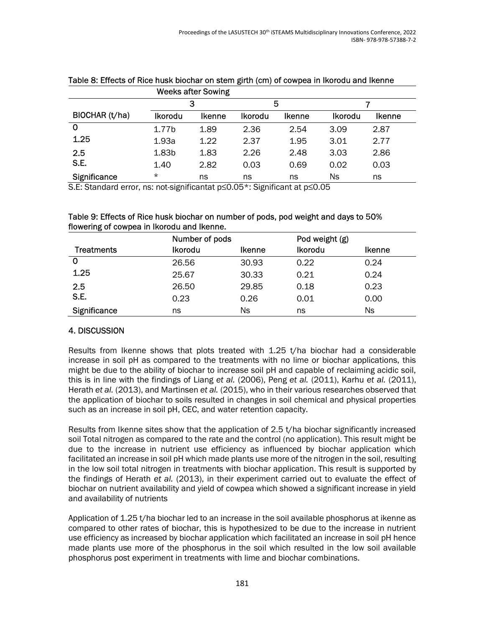|                |                   | <b>Weeks after Sowing</b> |                |               |                |               |  |
|----------------|-------------------|---------------------------|----------------|---------------|----------------|---------------|--|
|                |                   | 5<br>3                    |                |               |                |               |  |
| BIOCHAR (t/ha) | <b>Ikorodu</b>    | <b>Ikenne</b>             | <b>Ikorodu</b> | <b>Ikenne</b> | <b>Ikorodu</b> | <b>Ikenne</b> |  |
| 0              | 1.77 <sub>b</sub> | 1.89                      | 2.36           | 2.54          | 3.09           | 2.87          |  |
| 1.25           | 1.93a             | 1.22                      | 2.37           | 1.95          | 3.01           | 2.77          |  |
| 2.5            | 1.83b             | 1.83                      | 2.26           | 2.48          | 3.03           | 2.86          |  |
| S.E.           | 1.40              | 2.82                      | 0.03           | 0.69          | 0.02           | 0.03          |  |
| Significance   | $\star$           | ns                        | ns             | ns            | Ns             | ns            |  |

# Table 8: Effects of Rice husk biochar on stem girth (cm) of cowpea in Ikorodu and Ikenne

S.E: Standard error, ns: not-significantat p≤0.05\*: Significant at p≤0.05

| Table 9: Effects of Rice husk biochar on number of pods, pod weight and days to 50% |
|-------------------------------------------------------------------------------------|
| flowering of cowpea in Ikorodu and Ikenne.                                          |

|                   | Number of pods |               | Pod weight (g) |               |
|-------------------|----------------|---------------|----------------|---------------|
| <b>Treatments</b> | <b>Ikorodu</b> | <b>Ikenne</b> | <b>Ikorodu</b> | <b>Ikenne</b> |
| $\mathbf 0$       | 26.56          | 30.93         | 0.22           | 0.24          |
| 1.25              | 25.67          | 30.33         | 0.21           | 0.24          |
| 2.5               | 26.50          | 29.85         | 0.18           | 0.23          |
| S.E.              | 0.23           | 0.26          | 0.01           | 0.00          |
| Significance      | ns             | Ns            | ns             | Ns            |

## 4. DISCUSSION

Results from Ikenne shows that plots treated with  $1.25$  t/ha biochar had a considerable increase in soil pH as compared to the treatments with no lime or biochar applications, this might be due to the ability of biochar to increase soil pH and capable of reclaiming acidic soil, this is in line with the findings of Liang et al. (2006), Peng et al. (2011), Karhu et al. (2011), Herath et al. (2013), and Martinsen et al. (2015), who in their various researches observed that the application of biochar to soils resulted in changes in soil chemical and physical properties such as an increase in soil pH, CEC, and water retention capacity.

Results from Ikenne sites show that the application of 2.5 t/ha biochar significantly increased soil Total nitrogen as compared to the rate and the control (no application). This result might be due to the increase in nutrient use efficiency as influenced by biochar application which facilitated an increase in soil pH which made plants use more of the nitrogen in the soil, resulting in the low soil total nitrogen in treatments with biochar application. This result is supported by the findings of Herath et al. (2013), in their experiment carried out to evaluate the effect of biochar on nutrient availability and yield of cowpea which showed a significant increase in yield and availability of nutrients

Application of 1.25 t/ha biochar led to an increase in the soil available phosphorus at ikenne as compared to other rates of biochar, this is hypothesized to be due to the increase in nutrient use efficiency as increased by biochar application which facilitated an increase in soil pH hence made plants use more of the phosphorus in the soil which resulted in the low soil available phosphorus post experiment in treatments with lime and biochar combinations.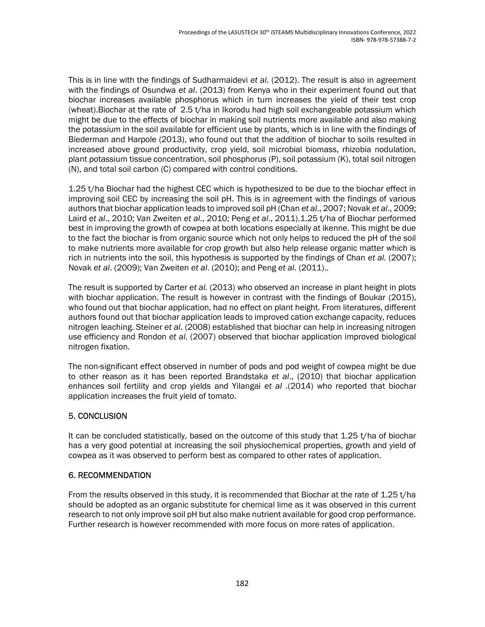This is in line with the findings of Sudharmaidevi et al. (2012). The result is also in agreement with the findings of Osundwa et al. (2013) from Kenya who in their experiment found out that biochar increases available phosphorus which in turn increases the yield of their test crop (wheat).Biochar at the rate of 2.5 t/ha in Ikorodu had high soil exchangeable potassium which might be due to the effects of biochar in making soil nutrients more available and also making the potassium in the soil available for efficient use by plants, which is in line with the findings of Biederman and Harpole (2013), who found out that the addition of biochar to soils resulted in increased above ground productivity, crop yield, soil microbial biomass, rhizobia nodulation, plant potassium tissue concentration, soil phosphorus (P), soil potassium (K), total soil nitrogen (N), and total soil carbon (C) compared with control conditions.

1.25 t/ha Biochar had the highest CEC which is hypothesized to be due to the biochar effect in improving soil CEC by increasing the soil pH. This is in agreement with the findings of various authors that biochar application leads to improved soil pH (Chan et al., 2007; Novak et al., 2009; Laird et al., 2010; Van Zweiten et al., 2010; Peng et al., 2011).1.25 t/ha of Biochar performed best in improving the growth of cowpea at both locations especially at ikenne. This might be due to the fact the biochar is from organic source which not only helps to reduced the pH of the soil to make nutrients more available for crop growth but also help release organic matter which is rich in nutrients into the soil, this hypothesis is supported by the findings of Chan et al. (2007); Novak et al. (2009); Van Zweiten et al. (2010); and Peng et al. (2011)..

The result is supported by Carter et al. (2013) who observed an increase in plant height in plots with biochar application. The result is however in contrast with the findings of Boukar (2015), who found out that biochar application, had no effect on plant height. From literatures, different authors found out that biochar application leads to improved cation exchange capacity, reduces nitrogen leaching. Steiner et al. (2008) established that biochar can help in increasing nitrogen use efficiency and Rondon et al. (2007) observed that biochar application improved biological nitrogen fixation.

The non-significant effect observed in number of pods and pod weight of cowpea might be due to other reason as it has been reported Brandstaka et al., (2010) that biochar application enhances soil fertility and crop yields and Yilangai et al .(2014) who reported that biochar application increases the fruit yield of tomato.

## 5. CONCLUSION

It can be concluded statistically, based on the outcome of this study that 1.25 t/ha of biochar has a very good potential at increasing the soil physiochemical properties, growth and yield of cowpea as it was observed to perform best as compared to other rates of application.

## 6. RECOMMENDATION

From the results observed in this study, it is recommended that Biochar at the rate of 1.25 t/ha should be adopted as an organic substitute for chemical lime as it was observed in this current research to not only improve soil pH but also make nutrient available for good crop performance. Further research is however recommended with more focus on more rates of application.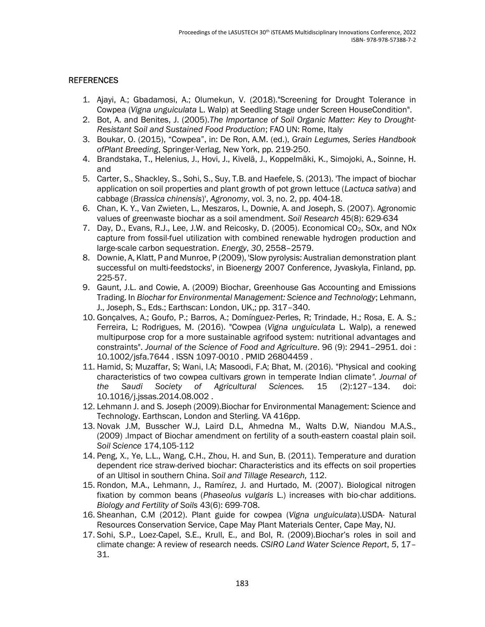### **REFERENCES**

- 1. Ajayi, A.; Gbadamosi, A.; Olumekun, V. (2018)."Screening for Drought Tolerance in Cowpea (Vigna unguiculata L. Walp) at Seedling Stage under Screen HouseCondition".
- 2. Bot, A. and Benites, J. (2005).The Importance of Soil Organic Matter: Key to Drought-Resistant Soil and Sustained Food Production; FAO UN: Rome, Italy
- 3. Boukar, O. (2015), "Cowpea", in: De Ron, A.M. (ed.), Grain Legumes, Series Handbook ofPlant Breeding, Springer-Verlag, New York, pp. 219-250.
- 4. Brandstaka, T., Helenius, J., Hovi, J., Kivelä, J., Koppelmäki, K., Simojoki, A., Soinne, H. and
- 5. Carter, S., Shackley, S., Sohi, S., Suy, T.B. and Haefele, S. (2013). 'The impact of biochar application on soil properties and plant growth of pot grown lettuce (Lactuca sativa) and cabbage (Brassica chinensis)', Agronomy, vol. 3, no. 2, pp. 404-18.
- 6. Chan, K. Y., Van Zwieten, L., Meszaros, I., Downie, A. and Joseph, S. (2007). Agronomic values of greenwaste biochar as a soil amendment. Soil Research 45(8): 629-634
- 7. Day, D., Evans, R.J., Lee, J.W. and Reicosky, D. (2005). Economical CO2, SOx, and NOx capture from fossil-fuel utilization with combined renewable hydrogen production and large-scale carbon sequestration. Energy, 30, 2558–2579.
- 8. Downie, A, Klatt, P and Munroe, P (2009), 'Slow pyrolysis: Australian demonstration plant successful on multi-feedstocks', in Bioenergy 2007 Conference, Jyvaskyla, Finland, pp. 225-57.
- 9. Gaunt, J.L. and Cowie, A. (2009) Biochar, Greenhouse Gas Accounting and Emissions Trading. In Biochar for Environmental Management: Science and Technology; Lehmann, J., Joseph, S., Eds.; Earthscan: London, UK,; pp. 317–340.
- 10. Gonçalves, A.; Goufo, P.; Barros, A.; Domínguez‐Perles, R; Trindade, H.; Rosa, E. A. S.; Ferreira, L; Rodrigues, M. (2016). "Cowpea (Vigna unguiculata L. Walp), a renewed multipurpose crop for a more sustainable agrifood system: nutritional advantages and constraints". Journal of the Science of Food and Agriculture. 96 (9): 2941–2951. doi : 10.1002/jsfa.7644 . ISSN 1097-0010 . PMID 26804459 .
- 11. Hamid, S; Muzaffar, S; Wani, I.A; Masoodi, F.A; Bhat, M. (2016). "Physical and cooking characteristics of two cowpea cultivars grown in temperate Indian climate". Journal of the Saudi Society of Agricultural Sciences. 15 (2):127–134. doi: 10.1016/j.jssas.2014.08.002 .
- 12. Lehmann J. and S. Joseph (2009).Biochar for Environmental Management: Science and Technology. Earthscan, London and Sterling. VA 416pp.
- 13. Novak J.M, Busscher W.J, Laird D.L, Ahmedna M., Walts D.W, Niandou M.A.S., (2009) .Impact of Biochar amendment on fertility of a south-eastern coastal plain soil. Soil Science 174,105-112
- 14. Peng, X., Ye, L.L., Wang, C.H., Zhou, H. and Sun, B. (2011). Temperature and duration dependent rice straw-derived biochar: Characteristics and its effects on soil properties of an Ultisol in southern China. Soil and Tillage Research, 112.
- 15. Rondon, M.A., Lehmann, J., Ramírez, J. and Hurtado, M. (2007). Biological nitrogen fixation by common beans (Phaseolus vulgaris L.) increases with bio-char additions. Biology and Fertility of Soils 43(6): 699-708.
- 16. Sheanhan, C.M (2012). Plant guide for cowpea (Vigna unguiculata).USDA- Natural Resources Conservation Service, Cape May Plant Materials Center, Cape May, NJ.
- 17. Sohi, S.P., Loez-Capel, S.E., Krull, E., and Bol, R. (2009).Biochar's roles in soil and climate change: A review of research needs. CSIRO Land Water Science Report, 5, 17– 31.